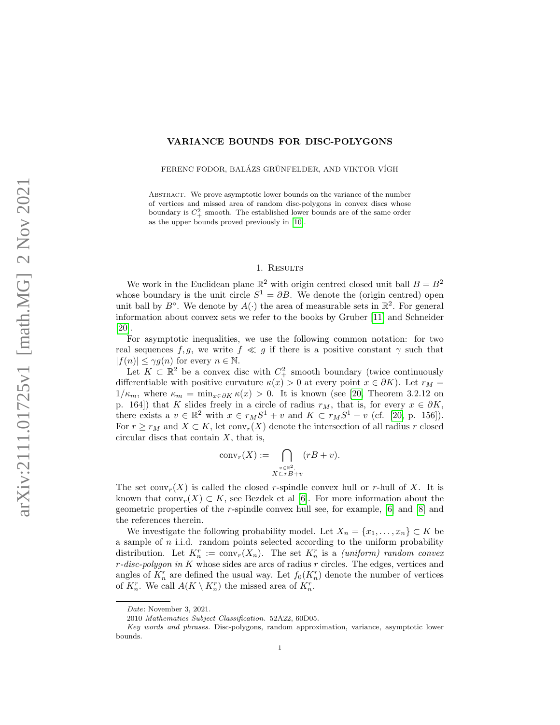# VARIANCE BOUNDS FOR DISC-POLYGONS

FERENC FODOR, BALÁZS GRÜNFELDER, AND VIKTOR VÍGH

ABSTRACT. We prove asymptotic lower bounds on the variance of the number of vertices and missed area of random disc-polygons in convex discs whose boundary is  $C_+^2$  smooth. The established lower bounds are of the same order as the upper bounds proved previously in [\[10\]](#page-11-0).

# 1. RESULTS

We work in the Euclidean plane  $\mathbb{R}^2$  with origin centred closed unit ball  $B = B^2$ whose boundary is the unit circle  $S^1 = \partial B$ . We denote the (origin centred) open unit ball by  $B^{\circ}$ . We denote by  $A(\cdot)$  the area of measurable sets in  $\mathbb{R}^2$ . For general information about convex sets we refer to the books by Gruber [\[11\]](#page-11-1) and Schneider [\[20\]](#page-11-2).

For asymptotic inequalities, we use the following common notation: for two real sequences f, g, we write  $f \ll g$  if there is a positive constant  $\gamma$  such that  $|f(n)| \leq \gamma g(n)$  for every  $n \in \mathbb{N}$ .

Let  $K \subset \mathbb{R}^2$  be a convex disc with  $C^2_+$  smooth boundary (twice continuously differentiable with positive curvature  $\kappa(x) > 0$  at every point  $x \in \partial K$ ). Let  $r_M =$  $1/\kappa_m$ , where  $\kappa_m = \min_{x \in \partial K} \kappa(x) > 0$ . It is known (see [\[20,](#page-11-2) Theorem 3.2.12 on p. 164) that K slides freely in a circle of radius  $r_M$ , that is, for every  $x \in \partial K$ , there exists a  $v \in \mathbb{R}^2$  with  $x \in r_M S^1 + v$  and  $K \subset r_M S^1 + v$  (cf. [\[20,](#page-11-2) p. 156]). For  $r \geq r_M$  and  $X \subset K$ , let conv<sub>r</sub> $(X)$  denote the intersection of all radius r closed circular discs that contain  $X$ , that is,

$$
convr(X) := \bigcap_{\substack{v \in \mathbb{R}^2, \\ X \subset rB + v}} (rB + v).
$$

The set  $conv_r(X)$  is called the closed r-spindle convex hull or r-hull of X. It is known that  $conv_r(X) \subset K$ , see Bezdek et al [\[6\]](#page-11-3). For more information about the geometric properties of the r-spindle convex hull see, for example, [\[6\]](#page-11-3) and [\[8\]](#page-11-4) and the references therein.

We investigate the following probability model. Let  $X_n = \{x_1, \ldots, x_n\} \subset K$  be a sample of  $n$  i.i.d. random points selected according to the uniform probability distribution. Let  $K_n^r := \text{conv}_r(X_n)$ . The set  $K_n^r$  is a *(uniform) random convex*  $r$ -disc-polygon in K whose sides are arcs of radius  $r$  circles. The edges, vertices and angles of  $K_n^r$  are defined the usual way. Let  $f_0(K_n^r)$  denote the number of vertices of  $K_n^r$ . We call  $A(K \setminus K_n^r)$  the missed area of  $K_n^r$ .

Date: November 3, 2021.

<sup>2010</sup> Mathematics Subject Classification. 52A22, 60D05.

Key words and phrases. Disc-polygons, random approximation, variance, asymptotic lower bounds.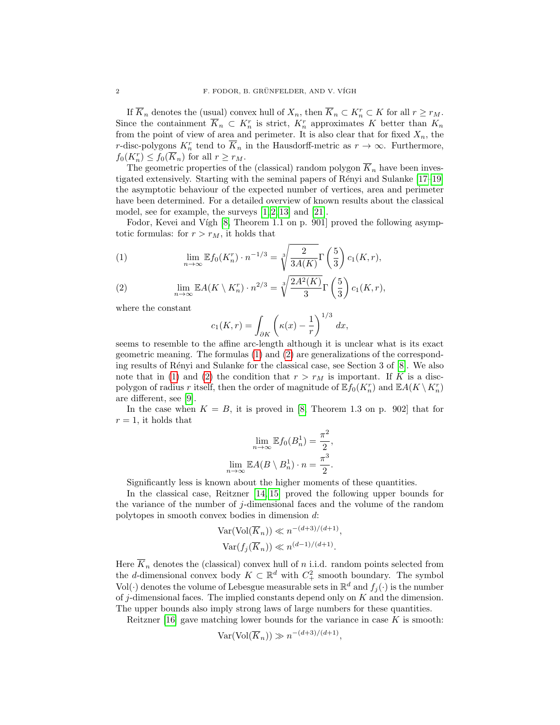If  $\overline{K}_n$  denotes the (usual) convex hull of  $X_n$ , then  $\overline{K}_n \subset K_n^r \subset K$  for all  $r \ge r_M$ . Since the containment  $\overline{K}_n \subset K_n^r$  is strict,  $K_n^r$  approximates K better than  $K_n$ from the point of view of area and perimeter. It is also clear that for fixed  $X_n$ , the r-disc-polygons  $K_n^r$  tend to  $\overline{K}_n$  in the Hausdorff-metric as  $r \to \infty$ . Furthermore,  $f_0(K_n^r) \le f_0(\overline{K}_n)$  for all  $r \ge r_M$ .

The geometric properties of the (classical) random polygon  $\overline{K}_n$  have been inves-tigated extensively. Starting with the seminal papers of Rényi and Sulanke [\[17–](#page-11-5)[19\]](#page-11-6) the asymptotic behaviour of the expected number of vertices, area and perimeter have been determined. For a detailed overview of known results about the classical model, see for example, the surveys  $[1, 2, 13]$  $[1, 2, 13]$  $[1, 2, 13]$  and  $[21]$ .

Fodor, Kevei and Vígh [\[8,](#page-11-4) Theorem 1.1 on p. 901] proved the following asymptotic formulas: for  $r > r_M$ , it holds that

<span id="page-1-0"></span>(1) 
$$
\lim_{n \to \infty} \mathbb{E} f_0(K_n^r) \cdot n^{-1/3} = \sqrt[3]{\frac{2}{3A(K)}} \Gamma\left(\frac{5}{3}\right) c_1(K, r),
$$

<span id="page-1-1"></span>(2) 
$$
\lim_{n \to \infty} \mathbb{E}A(K \setminus K_n^r) \cdot n^{2/3} = \sqrt[3]{\frac{2A^2(K)}{3}} \Gamma\left(\frac{5}{3}\right) c_1(K, r),
$$

where the constant

$$
c_1(K,r) = \int_{\partial K} \left( \kappa(x) - \frac{1}{r} \right)^{1/3} dx,
$$

seems to resemble to the affine arc-length although it is unclear what is its exact geometric meaning. The formulas [\(1\)](#page-1-0) and [\(2\)](#page-1-1) are generalizations of the correspond-ing results of Rényi and Sulanke for the classical case, see Section 3 of [\[8\]](#page-11-4). We also note that in [\(1\)](#page-1-0) and [\(2\)](#page-1-1) the condition that  $r > r_M$  is important. If K is a discpolygon of radius r itself, then the order of magnitude of  $\mathbb{E} f_0(K_n^r)$  and  $\mathbb{E} A(K \setminus K_n^r)$ are different, see [\[9\]](#page-11-9).

In the case when  $K = B$ , it is proved in [\[8,](#page-11-4) Theorem 1.3 on p. 902] that for  $r = 1$ , it holds that

$$
\lim_{n \to \infty} \mathbb{E} f_0(B_n^1) = \frac{\pi^2}{2},
$$

$$
\lim_{n \to \infty} \mathbb{E} A(B \setminus B_n^1) \cdot n = \frac{\pi^3}{2}.
$$

Significantly less is known about the higher moments of these quantities.

In the classical case, Reitzner [\[14,](#page-11-10) [15\]](#page-11-11) proved the following upper bounds for the variance of the number of j-dimensional faces and the volume of the random polytopes in smooth convex bodies in dimension d:

$$
\operatorname{Var}(\operatorname{Vol}(\overline{K}_n)) \ll n^{-(d+3)/(d+1)},
$$
  

$$
\operatorname{Var}(f_j(\overline{K}_n)) \ll n^{(d-1)/(d+1)}.
$$

Here  $\overline{K}_n$  denotes the (classical) convex hull of n i.i.d. random points selected from the d-dimensional convex body  $K \subset \mathbb{R}^d$  with  $C^2$  smooth boundary. The symbol Vol( $\cdot$ ) denotes the volume of Lebesgue measurable sets in  $\mathbb{R}^d$  and  $f_j(\cdot)$  is the number of j-dimensional faces. The implied constants depend only on  $K$  and the dimension. The upper bounds also imply strong laws of large numbers for these quantities.

Reitzner [\[16\]](#page-11-12) gave matching lower bounds for the variance in case  $K$  is smooth:

$$
\text{Var}(\text{Vol}(\overline{K}_n)) \gg n^{-(d+3)/(d+1)},
$$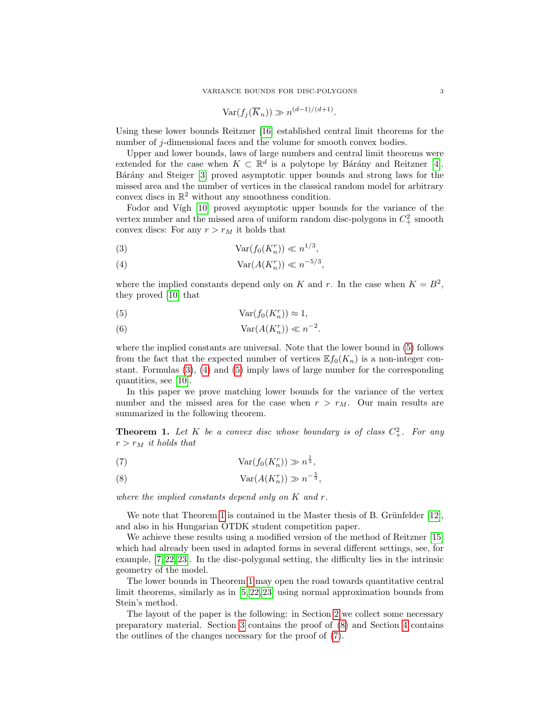$$
\text{Var}(f_j(\overline{K}_n)) \gg n^{(d-1)/(d+1)}.
$$

Using these lower bounds Reitzner [\[16\]](#page-11-12) established central limit theorems for the number of j-dimensional faces and the volume for smooth convex bodies.

Upper and lower bounds, laws of large numbers and central limit theorems were extended for the case when  $K \subset \mathbb{R}^d$  is a polytope by Bárány and Reitzner [\[4\]](#page-11-13). Bárány and Steiger [\[3\]](#page-11-14) proved asymptotic upper bounds and strong laws for the missed area and the number of vertices in the classical random model for arbitrary convex discs in  $\mathbb{R}^2$  without any smoothness condition.

Fodor and Vígh [\[10\]](#page-11-0) proved asymptotic upper bounds for the variance of the vertex number and the missed area of uniform random disc-polygons in  $C_+^2$  smooth convex discs: For any  $r > r_M$  it holds that

<span id="page-2-1"></span>
$$
\operatorname{Var}(f_0(K_n^r)) \ll n^{1/3},
$$

<span id="page-2-2"></span>
$$
(4) \t\t\t Var(A(K_n^r)) \ll n^{-5/3},
$$

where the implied constants depend only on K and r. In the case when  $K = B^2$ , they proved [\[10\]](#page-11-0) that

<span id="page-2-0"></span>(5) 
$$
Var(f_0(K_n^r)) \approx 1,
$$

(6) 
$$
Var(A(K_n^r)) \ll n^{-2}.
$$

where the implied constants are universal. Note that the lower bound in [\(5\)](#page-2-0) follows from the fact that the expected number of vertices  $\mathbb{E} f_0(K_n)$  is a non-integer constant. Formulas [\(3\)](#page-2-1), [\(4\)](#page-2-2) and [\(5\)](#page-2-0) imply laws of large number for the corresponding quantities, see [\[10\]](#page-11-0).

In this paper we prove matching lower bounds for the variance of the vertex number and the missed area for the case when  $r > r_M$ . Our main results are summarized in the following theorem.

<span id="page-2-3"></span>**Theorem 1.** Let K be a convex disc whose boundary is of class  $C^2_+$ . For any  $r > r_M$  it holds that

<span id="page-2-5"></span>
$$
\operatorname{Var}(f_0(K_n^r)) \gg n^{\frac{1}{3}},
$$

<span id="page-2-4"></span>(8) 
$$
Var(A(K_n^r)) \gg n^{-\frac{5}{3}},
$$

where the implied constants depend only on  $K$  and  $r$ .

We note that Theorem [1](#page-2-3) is contained in the Master thesis of B. Grünfelder  $[12]$ , and also in his Hungarian OTDK student competition paper.

We achieve these results using a modified version of the method of Reitzner [\[15\]](#page-11-11) which had already been used in adapted forms in several different settings, see, for example, [\[7,](#page-11-16) [22,](#page-11-17) [23\]](#page-11-18). In the disc-polygonal setting, the difficulty lies in the intrinsic geometry of the model.

The lower bounds in Theorem [1](#page-2-3) may open the road towards quantitative central limit theorems, similarly as in [\[5,](#page-11-19) [22,](#page-11-17) [23\]](#page-11-18) using normal approximation bounds from Stein's method.

The layout of the paper is the following: in Section [2](#page-3-0) we collect some necessary preparatory material. Section [3](#page-3-1) contains the proof of [\(8\)](#page-2-4) and Section [4](#page-9-0) contains the outlines of the changes necessary for the proof of [\(7\)](#page-2-5).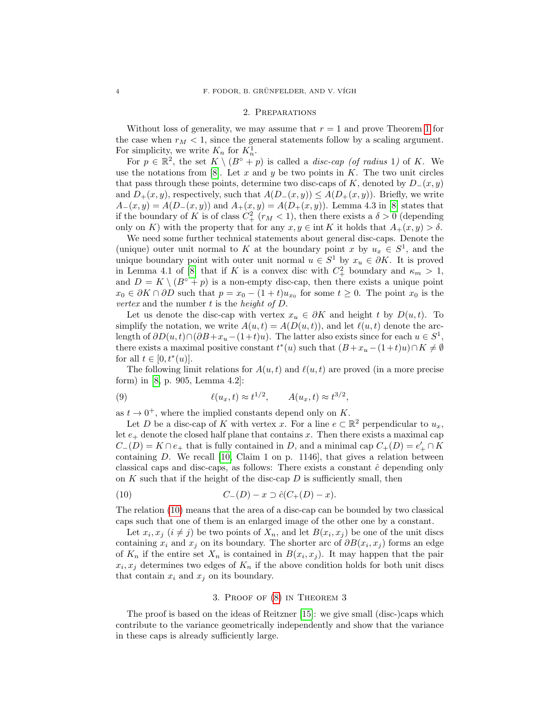#### 2. Preparations

<span id="page-3-0"></span>Without loss of generality, we may assume that  $r = 1$  $r = 1$  and prove Theorem 1 for the case when  $r_M < 1$ , since the general statements follow by a scaling argument. For simplicity, we write  $K_n$  for  $K_n^1$ .

For  $p \in \mathbb{R}^2$ , the set  $K \setminus (B \circ + p)$  is called a *disc-cap (of radius* 1) of K. We use the notations from [\[8\]](#page-11-4). Let x and y be two points in K. The two unit circles that pass through these points, determine two disc-caps of K, denoted by  $D_-(x, y)$ and  $D_{+}(x, y)$ , respectively, such that  $A(D_{-}(x, y)) \leq A(D_{+}(x, y))$ . Briefly, we write  $A_{-}(x, y) = A(D_{-}(x, y))$  and  $A_{+}(x, y) = A(D_{+}(x, y))$ . Lemma 4.3 in [\[8\]](#page-11-4) states that if the boundary of K is of class  $C_+^2$  ( $r_M < 1$ ), then there exists a  $\delta > 0$  (depending only on K) with the property that for any  $x, y \in \text{int } K$  it holds that  $A_+(x, y) > \delta$ .

We need some further technical statements about general disc-caps. Denote the (unique) outer unit normal to K at the boundary point x by  $u_x \in S^1$ , and the unique boundary point with outer unit normal  $u \in S^1$  by  $x_u \in \partial K$ . It is proved in Lemma 4.1 of [\[8\]](#page-11-4) that if K is a convex disc with  $C_+^2$  boundary and  $\kappa_m > 1$ , and  $D = K \setminus (B \circ + p)$  is a non-empty disc-cap, then there exists a unique point  $x_0 \in \partial K \cap \partial D$  such that  $p = x_0 - (1 + t)u_{x_0}$  for some  $t \geq 0$ . The point  $x_0$  is the vertex and the number  $t$  is the height of  $D$ .

Let us denote the disc-cap with vertex  $x_u \in \partial K$  and height t by  $D(u, t)$ . To simplify the notation, we write  $A(u, t) = A(D(u, t))$ , and let  $\ell(u, t)$  denote the arclength of  $\partial D(u,t) \cap (\partial B + x_u - (1+t)u)$ . The latter also exists since for each  $u \in S^1$ , there exists a maximal positive constant  $t^*(u)$  such that  $(B+x_u-(1+t)u)\cap K\neq\emptyset$ for all  $t \in [0, t^*(u)].$ 

The following limit relations for  $A(u, t)$  and  $\ell(u, t)$  are proved (in a more precise form) in [\[8,](#page-11-4) p. 905, Lemma 4.2]:

<span id="page-3-3"></span>(9) 
$$
\ell(u_x, t) \approx t^{1/2}, \qquad A(u_x, t) \approx t^{3/2},
$$

as  $t \to 0^+$ , where the implied constants depend only on K.

Let D be a disc-cap of K with vertex x. For a line  $e \subset \mathbb{R}^2$  perpendicular to  $u_x$ , let  $e_{+}$  denote the closed half plane that contains x. Then there exists a maximal cap  $C_{-}(D) = K \cap e_{+}$  that is fully contained in D, and a minimal cap  $C_{+}(D) = e'_{+} \cap K$ containing D. We recall [\[10,](#page-11-0) Claim 1 on p. 1146], that gives a relation between classical caps and disc-caps, as follows: There exists a constant  $\hat{c}$  depending only on  $K$  such that if the height of the disc-cap  $D$  is sufficiently small, then

<span id="page-3-2"></span>(10) 
$$
C_{-}(D) - x \supset \hat{c}(C_{+}(D) - x).
$$

The relation [\(10\)](#page-3-2) means that the area of a disc-cap can be bounded by two classical caps such that one of them is an enlarged image of the other one by a constant.

Let  $x_i, x_j$   $(i \neq j)$  be two points of  $X_n$ , and let  $B(x_i, x_j)$  be one of the unit discs containing  $x_i$  and  $x_j$  on its boundary. The shorter arc of  $\partial B(x_i, x_j)$  forms an edge of  $K_n$  if the entire set  $X_n$  is contained in  $B(x_i, x_j)$ . It may happen that the pair  $x_i, x_j$  determines two edges of  $K_n$  if the above condition holds for both unit discs that contain  $x_i$  and  $x_j$  on its boundary.

## 3. Proof of [\(8\)](#page-2-4) in Theorem 3

<span id="page-3-1"></span>The proof is based on the ideas of Reitzner [\[15\]](#page-11-11): we give small (disc-)caps which contribute to the variance geometrically independently and show that the variance in these caps is already sufficiently large.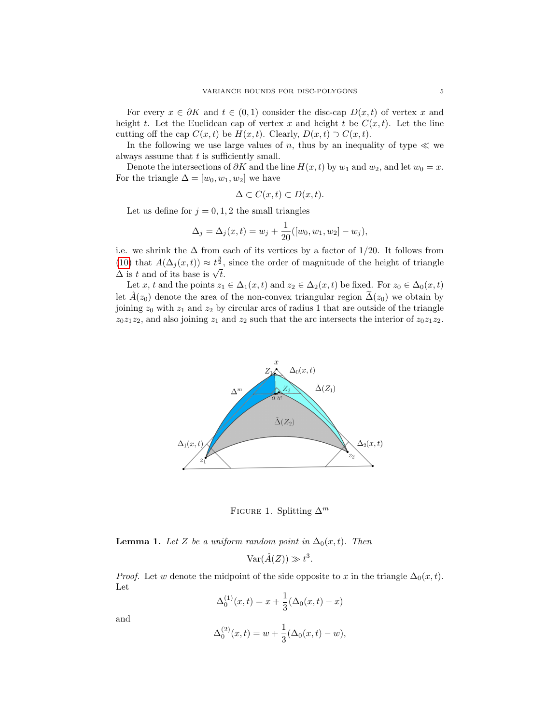For every  $x \in \partial K$  and  $t \in (0,1)$  consider the disc-cap  $D(x,t)$  of vertex x and height t. Let the Euclidean cap of vertex x and height t be  $C(x,t)$ . Let the line cutting off the cap  $C(x,t)$  be  $H(x,t)$ . Clearly,  $D(x,t) \supset C(x,t)$ .

In the following we use large values of n, thus by an inequality of type  $\ll$  we always assume that  $t$  is sufficiently small.

Denote the intersections of  $\partial K$  and the line  $H(x,t)$  by  $w_1$  and  $w_2$ , and let  $w_0 = x$ . For the triangle  $\Delta = [w_0, w_1, w_2]$  we have

$$
\Delta \subset C(x,t) \subset D(x,t).
$$

Let us define for  $j = 0, 1, 2$  the small triangles

$$
\Delta_j = \Delta_j(x, t) = w_j + \frac{1}{20}([w_0, w_1, w_2] - w_j),
$$

i.e. we shrink the  $\Delta$  from each of its vertices by a factor of 1/20. It follows from [\(10\)](#page-3-2) that  $A(\Delta_j(x,t)) \approx t^{\frac{3}{2}}$ , since the order of magnitude of the height of triangle (10) that  $A(\Delta_j(x,t)) \approx t^2$ ,<br> $\Delta$  is t and of its base is  $\sqrt{t}$ .

Let x, t and the points  $z_1 \in \Delta_1(x,t)$  and  $z_2 \in \Delta_2(x,t)$  be fixed. For  $z_0 \in \Delta_0(x,t)$ let  $\hat{A}(z_0)$  denote the area of the non-convex triangular region  $\Delta(z_0)$  we obtain by joining  $z_0$  with  $z_1$  and  $z_2$  by circular arcs of radius 1 that are outside of the triangle  $z_0z_1z_2$ , and also joining  $z_1$  and  $z_2$  such that the arc intersects the interior of  $z_0z_1z_2$ .



<span id="page-4-0"></span>FIGURE 1. Splitting  $\Delta^m$ 

<span id="page-4-1"></span>**Lemma 1.** Let Z be a uniform random point in  $\Delta_0(x,t)$ . Then

 $\text{Var}(\hat{A}(Z)) \gg t^3$ .

*Proof.* Let w denote the midpoint of the side opposite to x in the triangle  $\Delta_0(x, t)$ . Let

$$
\Delta_0^{(1)}(x,t) = x + \frac{1}{3}(\Delta_0(x,t) - x)
$$

and

$$
\Delta_0^{(2)}(x,t) = w + \frac{1}{3}(\Delta_0(x,t) - w),
$$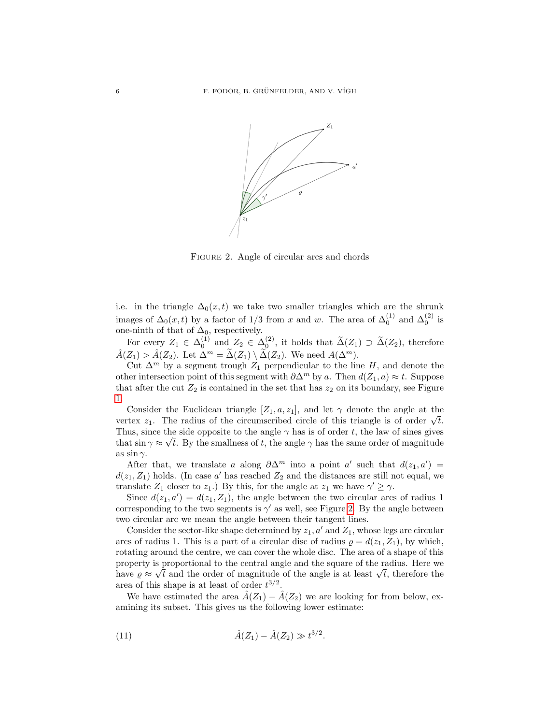

<span id="page-5-0"></span>Figure 2. Angle of circular arcs and chords

i.e. in the triangle  $\Delta_0(x,t)$  we take two smaller triangles which are the shrunk images of  $\Delta_0(x,t)$  by a factor of 1/3 from x and w. The area of  $\Delta_0^{(1)}$  and  $\Delta_0^{(2)}$  is one-ninth of that of  $\Delta_0$ , respectively.

For every  $Z_1 \in \Delta_0^{(1)}$  and  $Z_2 \in \Delta_0^{(2)}$ , it holds that  $\widetilde{\Delta}(Z_1) \supset \widetilde{\Delta}(Z_2)$ , therefore  $\hat{A}(Z_1) > \hat{A}(Z_2)$ . Let  $\Delta^m = \tilde{\Delta}(Z_1) \setminus \tilde{\Delta}(Z_2)$ . We need  $A(\Delta^m)$ .

Cut  $\Delta^m$  by a segment trough  $Z_1$  perpendicular to the line H, and denote the other intersection point of this segment with  $\partial \Delta^m$  by a. Then  $d(Z_1, a) \approx t$ . Suppose that after the cut  $Z_2$  is contained in the set that has  $z_2$  on its boundary, see Figure [1.](#page-4-0)

Consider the Euclidean triangle  $[Z_1, a, z_1]$ , and let  $\gamma$  denote the angle at the Consider the Euclidean triangle [ $\angle 1$ ,  $\alpha$ ,  $\angle 1$ ], and let  $\gamma$  denote the angle at the vertex  $z_1$ . The radius of the circumscribed circle of this triangle is of order  $\sqrt{t}$ . Thus, since the side opposite to the angle  $\gamma$  has is of order t, the law of sines gives that  $\sin \gamma \approx \sqrt{t}$ . By the smallness of t, the angle  $\gamma$  has the same order of magnitude as  $\sin \gamma$ .

After that, we translate a along  $\partial \Delta^m$  into a point a' such that  $d(z_1, a') =$  $d(z_1, Z_1)$  holds. (In case a' has reached  $Z_2$  and the distances are still not equal, we translate  $Z_1$  closer to  $z_1$ .) By this, for the angle at  $z_1$  we have  $\gamma' \geq \gamma$ .

Since  $d(z_1, a') = d(z_1, Z_1)$ , the angle between the two circular arcs of radius 1 corresponding to the two segments is  $\gamma'$  as well, see Figure [2.](#page-5-0) By the angle between two circular arc we mean the angle between their tangent lines.

Consider the sector-like shape determined by  $z_1$ ,  $a'$  and  $Z_1$ , whose legs are circular arcs of radius 1. This is a part of a circular disc of radius  $\rho = d(z_1, Z_1)$ , by which, rotating around the centre, we can cover the whole disc. The area of a shape of this property is proportional to the central angle and the square of the radius. Here we property is proportional to the central angle and the square of the radius. Here we<br>have  $\rho \approx \sqrt{t}$  and the order of magnitude of the angle is at least  $\sqrt{t}$ , therefore the area of this shape is at least of order  $t^{3/2}$ .

We have estimated the area  $\hat{A}(Z_1) - \hat{A}(Z_2)$  we are looking for from below, examining its subset. This gives us the following lower estimate:

<span id="page-5-1"></span>(11) 
$$
\hat{A}(Z_1) - \hat{A}(Z_2) \gg t^{3/2}
$$
.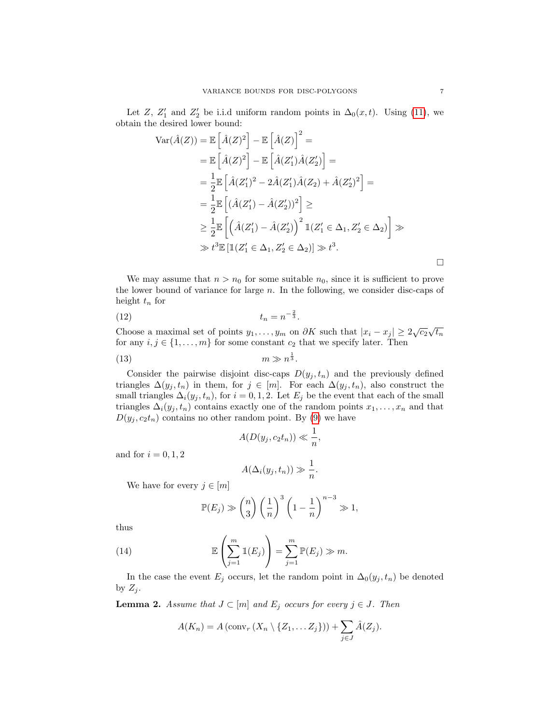Let Z,  $Z'_1$  and  $Z'_2$  be i.i.d uniform random points in  $\Delta_0(x,t)$ . Using [\(11\)](#page-5-1), we obtain the desired lower bound:

$$
\operatorname{Var}(\hat{A}(Z)) = \mathbb{E}\left[\hat{A}(Z)^2\right] - \mathbb{E}\left[\hat{A}(Z)\right]^2 =
$$
  
\n
$$
= \mathbb{E}\left[\hat{A}(Z)^2\right] - \mathbb{E}\left[\hat{A}(Z_1')\hat{A}(Z_2')\right] =
$$
  
\n
$$
= \frac{1}{2}\mathbb{E}\left[\hat{A}(Z_1')^2 - 2\hat{A}(Z_1')\hat{A}(Z_2) + \hat{A}(Z_2')^2\right] =
$$
  
\n
$$
= \frac{1}{2}\mathbb{E}\left[\left(\hat{A}(Z_1') - \hat{A}(Z_2')\right)^2\right] \ge
$$
  
\n
$$
\geq \frac{1}{2}\mathbb{E}\left[\left(\hat{A}(Z_1') - \hat{A}(Z_2')\right)^2 \mathbb{1}(Z_1' \in \Delta_1, Z_2' \in \Delta_2)\right] \gg
$$
  
\n
$$
\gg t^3 \mathbb{E}\left[\mathbb{1}(Z_1' \in \Delta_1, Z_2' \in \Delta_2)\right] \gg t^3.
$$

We may assume that  $n > n_0$  for some suitable  $n_0$ , since it is sufficient to prove the lower bound of variance for large  $n$ . In the following, we consider disc-caps of height  $t_n$  for

$$
(12) \qquad \qquad t_n = n^{-\frac{2}{3}}.
$$

Choose a maximal set of points  $y_1, \ldots, y_m$  on  $\partial K$  such that  $|x_i - x_j| \geq 2\sqrt{c_2}\sqrt{t_n}$ for any  $i, j \in \{1, ..., m\}$  for some constant  $c_2$  that we specify later. Then

$$
(13) \t\t\t m \gg n^{\frac{1}{3}}.
$$

Consider the pairwise disjoint disc-caps  $D(y_j, t_n)$  and the previously defined triangles  $\Delta(y_j, t_n)$  in them, for  $j \in [m]$ . For each  $\Delta(y_j, t_n)$ , also construct the small triangles  $\Delta_i(y_j, t_n)$ , for  $i = 0, 1, 2$ . Let  $E_j$  be the event that each of the small triangles  $\Delta_i(y_j, t_n)$  contains exactly one of the random points  $x_1, \ldots, x_n$  and that  $D(y_j, c_2t_n)$  contains no other random point. By [\(9\)](#page-3-3) we have

<span id="page-6-3"></span><span id="page-6-1"></span>
$$
A(D(y_j, c_2t_n)) \ll \frac{1}{n},
$$

and for  $i = 0, 1, 2$ 

$$
A(\Delta_i(y_j, t_n)) \gg \frac{1}{n}.
$$

We have for every  $j \in [m]$ 

<span id="page-6-2"></span>
$$
\mathbb{P}(E_j) \gg {n \choose 3} \left(\frac{1}{n}\right)^3 \left(1 - \frac{1}{n}\right)^{n-3} \gg 1,
$$

thus

(14) 
$$
\mathbb{E}\left(\sum_{j=1}^m \mathbb{1}(E_j)\right) = \sum_{j=1}^m \mathbb{P}(E_j) \gg m.
$$

In the case the event  $E_j$  occurs, let the random point in  $\Delta_0(y_j, t_n)$  be denoted by  $Z_j$ .

<span id="page-6-0"></span>**Lemma 2.** Assume that  $J \subset [m]$  and  $E_j$  occurs for every  $j \in J$ . Then

$$
A(K_n) = A\left(\text{conv}_r\left(X_n \setminus \{Z_1, \ldots Z_j\}\right)\right) + \sum_{j \in J} \hat{A}(Z_j).
$$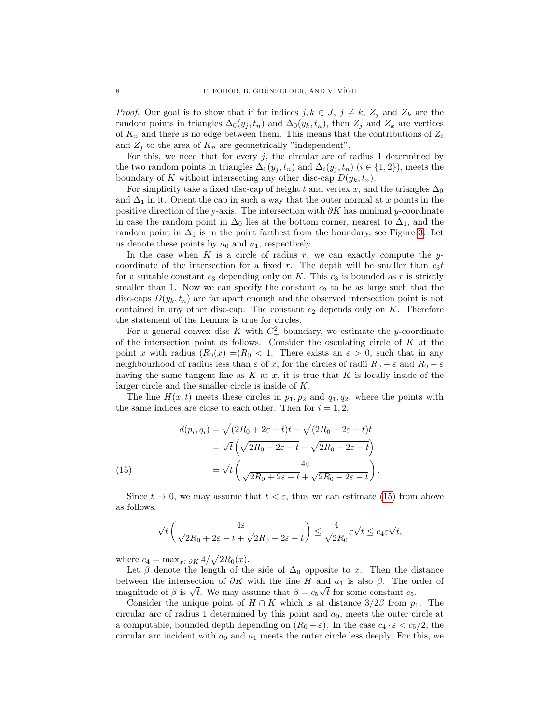*Proof.* Our goal is to show that if for indices  $j, k \in J$ ,  $j \neq k$ ,  $Z_j$  and  $Z_k$  are the random points in triangles  $\Delta_0(y_j, t_n)$  and  $\Delta_0(y_k, t_n)$ , then  $Z_j$  and  $Z_k$  are vertices of  $K_n$  and there is no edge between them. This means that the contributions of  $Z_i$ and  $Z_j$  to the area of  $K_n$  are geometrically "independent".

For this, we need that for every  $j$ , the circular arc of radius 1 determined by the two random points in triangles  $\Delta_0(y_j, t_n)$  and  $\Delta_i(y_j, t_n)$   $(i \in \{1, 2\})$ , meets the boundary of K without intersecting any other disc-cap  $D(y_k, t_n)$ .

For simplicity take a fixed disc-cap of height t and vertex x, and the triangles  $\Delta_0$ and  $\Delta_1$  in it. Orient the cap in such a way that the outer normal at x points in the positive direction of the y-axis. The intersection with  $\partial K$  has minimal y-coordinate in case the random point in  $\Delta_0$  lies at the bottom corner, nearest to  $\Delta_1$ , and the random point in  $\Delta_1$  is in the point farthest from the boundary, see Figure [3.](#page-8-0) Let us denote these points by  $a_0$  and  $a_1$ , respectively.

In the case when K is a circle of radius r, we can exactly compute the ycoordinate of the intersection for a fixed r. The depth will be smaller than  $c_3t$ for a suitable constant  $c_3$  depending only on K. This  $c_3$  is bounded as r is strictly smaller than 1. Now we can specify the constant  $c_2$  to be as large such that the disc-caps  $D(y_k, t_n)$  are far apart enough and the observed intersection point is not contained in any other disc-cap. The constant  $c_2$  depends only on K. Therefore the statement of the Lemma is true for circles.

For a general convex disc K with  $C_+^2$  boundary, we estimate the y-coordinate of the intersection point as follows. Consider the osculating circle of  $K$  at the point x with radius  $(R_0(x) = R_0 < 1$ . There exists an  $\varepsilon > 0$ , such that in any neighbourhood of radius less than  $\varepsilon$  of x, for the circles of radii  $R_0 + \varepsilon$  and  $R_0 - \varepsilon$ having the same tangent line as  $K$  at  $x$ , it is true that  $K$  is locally inside of the larger circle and the smaller circle is inside of K.

The line  $H(x, t)$  meets these circles in  $p_1, p_2$  and  $q_1, q_2$ , where the points with the same indices are close to each other. Then for  $i = 1, 2$ ,

(15)  
\n
$$
d(p_i, q_i) = \sqrt{(2R_0 + 2\varepsilon - t)t} - \sqrt{(2R_0 - 2\varepsilon - t)t}
$$
\n
$$
= \sqrt{t} \left( \sqrt{2R_0 + 2\varepsilon - t} - \sqrt{2R_0 - 2\varepsilon - t} \right)
$$
\n
$$
= \sqrt{t} \left( \frac{4\varepsilon}{\sqrt{2R_0 + 2\varepsilon - t} + \sqrt{2R_0 - 2\varepsilon - t}} \right).
$$

<span id="page-7-0"></span>Since  $t \to 0$ , we may assume that  $t < \varepsilon$ , thus we can estimate [\(15\)](#page-7-0) from above as follows.

$$
\sqrt{t}\left(\frac{4\varepsilon}{\sqrt{2R_0+2\varepsilon-t}+\sqrt{2R_0-2\varepsilon-t}}\right)\leq \frac{4}{\sqrt{2R_0}}\varepsilon\sqrt{t}\leq c_4\varepsilon\sqrt{t},
$$

where  $c_4 = \max_{x \in \partial K} 4/\sqrt{2R_0(x)}$ .

Let  $\beta$  denote the length of the side of  $\Delta_0$  opposite to x. Then the distance between the intersection of  $\partial K$  with the line H and  $a_1$  is also  $\beta$ . The order of between the intersection of  $\partial K$  with the line H and  $a_1$  is also  $\beta$ . The of-<br>magnitude of  $\beta$  is  $\sqrt{t}$ . We may assume that  $\beta = c_5\sqrt{t}$  for some constant  $c_5$ .

Consider the unique point of  $H \cap K$  which is at distance  $3/2\beta$  from  $p_1$ . The circular arc of radius 1 determined by this point and  $a_0$ , meets the outer circle at a computable, bounded depth depending on  $(R_0 + \varepsilon)$ . In the case  $c_4 \cdot \varepsilon < c_5/2$ , the circular arc incident with  $a_0$  and  $a_1$  meets the outer circle less deeply. For this, we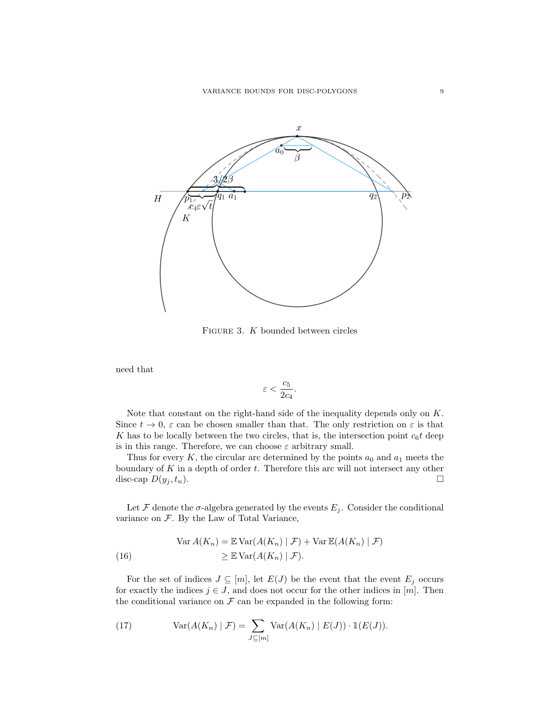

<span id="page-8-0"></span>FIGURE 3. K bounded between circles

need that

$$
\varepsilon < \frac{c_5}{2c_4}.
$$

Note that constant on the right-hand side of the inequality depends only on K. Since  $t \to 0$ ,  $\varepsilon$  can be chosen smaller than that. The only restriction on  $\varepsilon$  is that K has to be locally between the two circles, that is, the intersection point  $c_6t$  deep is in this range. Therefore, we can choose  $\varepsilon$  arbitrary small.

Thus for every  $K$ , the circular arc determined by the points  $a_0$  and  $a_1$  meets the boundary of  $K$  in a depth of order  $t$ . Therefore this arc will not intersect any other disc-cap  $D(y_j, t_n)$ .

Let F denote the  $\sigma$ -algebra generated by the events  $E_j$ . Consider the conditional variance on  $F$ . By the Law of Total Variance,

<span id="page-8-2"></span>(16) 
$$
\operatorname{Var} A(K_n) = \mathbb{E} \operatorname{Var} (A(K_n) | \mathcal{F}) + \operatorname{Var} \mathbb{E} (A(K_n) | \mathcal{F})
$$

$$
\geq \mathbb{E} \operatorname{Var} (A(K_n) | \mathcal{F}).
$$

For the set of indices  $J \subseteq [m]$ , let  $E(J)$  be the event that the event  $E_j$  occurs for exactly the indices  $j \in J$ , and does not occur for the other indices in [m]. Then the conditional variance on  $\mathcal F$  can be expanded in the following form:

<span id="page-8-1"></span>(17) 
$$
\text{Var}(A(K_n) | \mathcal{F}) = \sum_{J \subseteq [m]} \text{Var}(A(K_n) | E(J)) \cdot \mathbb{1}(E(J)).
$$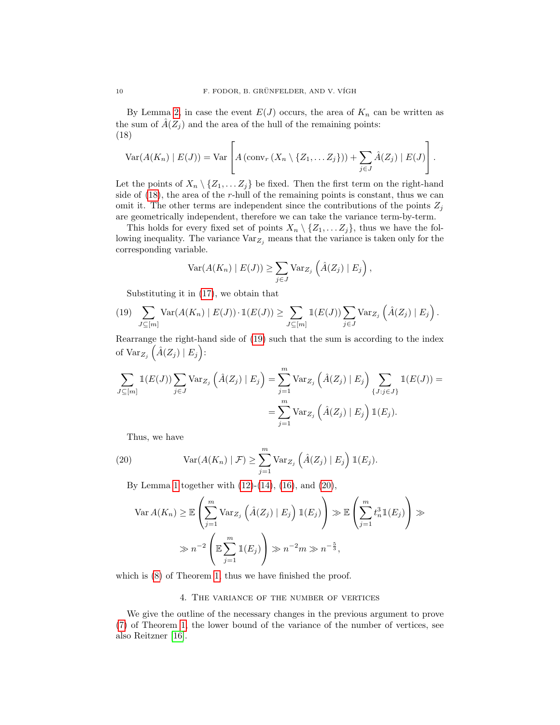By Lemma [2,](#page-6-0) in case the event  $E(J)$  occurs, the area of  $K_n$  can be written as the sum of  $\hat{A}(Z_j)$  and the area of the hull of the remaining points: (18)

<span id="page-9-1"></span>
$$
\text{Var}(A(K_n) | E(J)) = \text{Var}\left[A\left(\text{conv}_r\left(X_n \setminus \{Z_1, \ldots Z_j\}\right)\right) + \sum_{j \in J} \hat{A}(Z_j) | E(J)\right].
$$

Let the points of  $X_n \setminus \{Z_1, \ldots Z_j\}$  be fixed. Then the first term on the right-hand side of [\(18\)](#page-9-1), the area of the r-hull of the remaining points is constant, thus we can omit it. The other terms are independent since the contributions of the points  $Z_j$ are geometrically independent, therefore we can take the variance term-by-term.

This holds for every fixed set of points  $X_n \setminus \{Z_1, \ldots Z_j\}$ , thus we have the following inequality. The variance  $\text{Var}_{Z_j}$  means that the variance is taken only for the corresponding variable.

$$
\text{Var}(A(K_n) | E(J)) \ge \sum_{j \in J} \text{Var}_{Z_j} \left( \hat{A}(Z_j) | E_j \right),
$$

<span id="page-9-2"></span>Substituting it in [\(17\)](#page-8-1), we obtain that

(19) 
$$
\sum_{J \subseteq [m]} \text{Var}(A(K_n) | E(J)) \cdot \mathbb{1}(E(J)) \ge \sum_{J \subseteq [m]} \mathbb{1}(E(J)) \sum_{j \in J} \text{Var}_{Z_j} \left( \hat{A}(Z_j) | E_j \right).
$$

Rearrange the right-hand side of [\(19\)](#page-9-2) such that the sum is according to the index of  $\text{Var}_{Z_j}(\hat{A}(Z_j) | E_j)$ :

$$
\sum_{J \subseteq [m]} \mathbb{1}(E(J)) \sum_{j \in J} \text{Var}_{Z_j} \left( \hat{A}(Z_j) \mid E_j \right) = \sum_{j=1}^m \text{Var}_{Z_j} \left( \hat{A}(Z_j) \mid E_j \right) \sum_{\{J : j \in J\}} \mathbb{1}(E(J)) =
$$

$$
= \sum_{j=1}^m \text{Var}_{Z_j} \left( \hat{A}(Z_j) \mid E_j \right) \mathbb{1}(E_j).
$$

<span id="page-9-3"></span>Thus, we have

(20) 
$$
\operatorname{Var}(A(K_n) | \mathcal{F}) \geq \sum_{j=1}^{m} \operatorname{Var}_{Z_j}(\hat{A}(Z_j) | E_j) \mathbb{1}(E_j).
$$

By Lemma [1](#page-4-1) together with  $(12)-(14)$  $(12)-(14)$ ,  $(16)$ , and  $(20)$ ,

$$
\operatorname{Var} A(K_n) \geq \mathbb{E} \left( \sum_{j=1}^m \operatorname{Var}_{Z_j} \left( \hat{A}(Z_j) \mid E_j \right) \mathbb{1}(E_j) \right) \gg \mathbb{E} \left( \sum_{j=1}^m t_n^3 \mathbb{1}(E_j) \right) \gg
$$
  

$$
\gg n^{-2} \left( \mathbb{E} \sum_{j=1}^m \mathbb{1}(E_j) \right) \gg n^{-2} m \gg n^{-\frac{5}{3}},
$$

which is  $(8)$  of Theorem [1,](#page-2-3) thus we have finished the proof.

## 4. The variance of the number of vertices

<span id="page-9-0"></span>We give the outline of the necessary changes in the previous argument to prove [\(7\)](#page-2-5) of Theorem [1,](#page-2-3) the lower bound of the variance of the number of vertices, see also Reitzner [\[16\]](#page-11-12).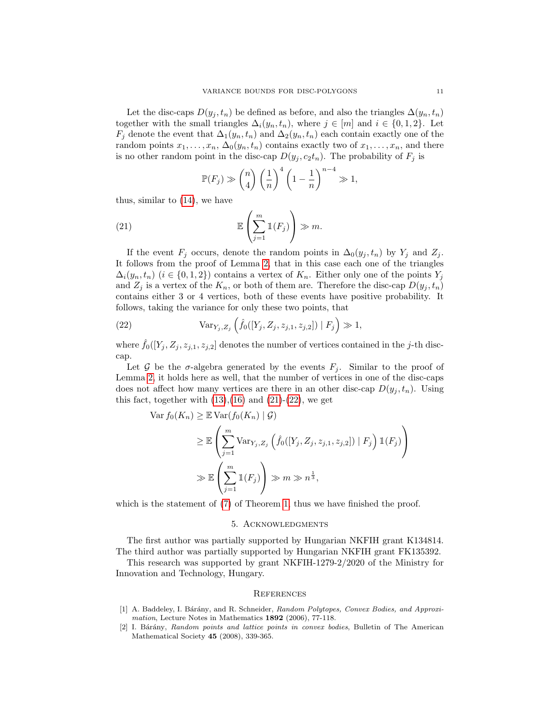Let the disc-caps  $D(y_i, t_n)$  be defined as before, and also the triangles  $\Delta(y_n, t_n)$ together with the small triangles  $\Delta_i(y_n, t_n)$ , where  $j \in [m]$  and  $i \in \{0, 1, 2\}$ . Let  $F_j$  denote the event that  $\Delta_1(y_n, t_n)$  and  $\Delta_2(y_n, t_n)$  each contain exactly one of the random points  $x_1, \ldots, x_n$ ,  $\Delta_0(y_n, t_n)$  contains exactly two of  $x_1, \ldots, x_n$ , and there is no other random point in the disc-cap  $D(y_j, c_2t_n)$ . The probability of  $F_j$  is

<span id="page-10-2"></span>
$$
\mathbb{P}(F_j) \gg {n \choose 4} \left(\frac{1}{n}\right)^4 \left(1 - \frac{1}{n}\right)^{n-4} \gg 1,
$$

thus, similar to [\(14\)](#page-6-2), we have

(21) 
$$
\mathbb{E}\left(\sum_{j=1}^m \mathbb{1}(F_j)\right) \gg m.
$$

If the event  $F_i$  occurs, denote the random points in  $\Delta_0(y_i, t_n)$  by  $Y_i$  and  $Z_i$ . It follows from the proof of Lemma [2,](#page-6-0) that in this case each one of the triangles  $\Delta_i(y_n, t_n)$  ( $i \in \{0, 1, 2\}$ ) contains a vertex of  $K_n$ . Either only one of the points  $Y_j$ and  $Z_j$  is a vertex of the  $K_n$ , or both of them are. Therefore the disc-cap  $D(y_j, t_n)$ contains either 3 or 4 vertices, both of these events have positive probability. It follows, taking the variance for only these two points, that

<span id="page-10-3"></span>(22) 
$$
\text{Var}_{Y_j, Z_j}\left(\hat{f}_0([Y_j, Z_j, z_{j,1}, z_{j,2}]) | F_j\right) \gg 1,
$$

where  $\hat{f}_0([Y_j, Z_j, z_{j,1}, z_{j,2}]$  denotes the number of vertices contained in the j-th disccap.

Let G be the  $\sigma$ -algebra generated by the events  $F_j$ . Similar to the proof of Lemma [2,](#page-6-0) it holds here as well, that the number of vertices in one of the disc-caps does not affect how many vertices are there in an other disc-cap  $D(y_i, t_n)$ . Using this fact, together with  $(13),(16)$  $(13),(16)$  and  $(21)-(22)$  $(21)-(22)$ , we get

$$
\operatorname{Var} f_0(K_n) \geq \mathbb{E} \operatorname{Var}(f_0(K_n) | \mathcal{G})
$$
  
\n
$$
\geq \mathbb{E} \left( \sum_{j=1}^m \operatorname{Var}_{Y_j, Z_j} \left( \hat{f}_0([Y_j, Z_j, z_{j,1}, z_{j,2}]) | F_j \right) \mathbb{1}(F_j) \right)
$$
  
\n
$$
\gg \mathbb{E} \left( \sum_{j=1}^m \mathbb{1}(F_j) \right) \gg m \gg n^{\frac{1}{3}},
$$

which is the statement of  $(7)$  of Theorem [1,](#page-2-3) thus we have finished the proof.

### 5. Acknowledgments

The first author was partially supported by Hungarian NKFIH grant K134814. The third author was partially supported by Hungarian NKFIH grant FK135392.

This research was supported by grant NKFIH-1279-2/2020 of the Ministry for Innovation and Technology, Hungary.

#### **REFERENCES**

- <span id="page-10-0"></span>[1] A. Baddeley, I. Bárány, and R. Schneider, Random Polytopes, Convex Bodies, and Approximation, Lecture Notes in Mathematics 1892 (2006), 77-118.
- <span id="page-10-1"></span>[2] I. Bárány, Random points and lattice points in convex bodies, Bulletin of The American Mathematical Society 45 (2008), 339-365.